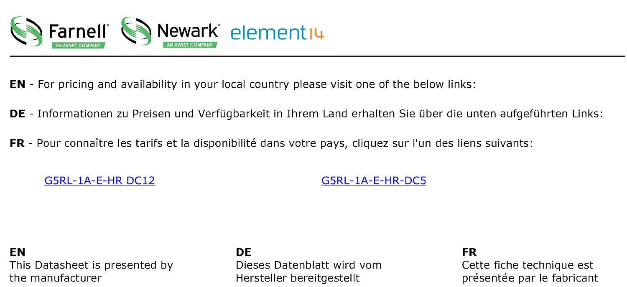

- **EN** For pricing and availability in your local country please visit one of the below links:
- DE Informationen zu Preisen und Verfügbarkeit in Ihrem Land erhalten Sie über die unten aufgeführten Links:
- FR Pour connaître les tarifs et la disponibilité dans votre pays, cliquez sur l'un des liens suivants:

G5RL-1A-E-HR DC12

G5RL-1A-E-HR-DC5

**EN** This Datasheet is presented by the manufacturer

**DE** 

Dieses Datenblatt wird vom Hersteller bereitgestellt

**FR** Cette fiche technique est présentée par le fabricant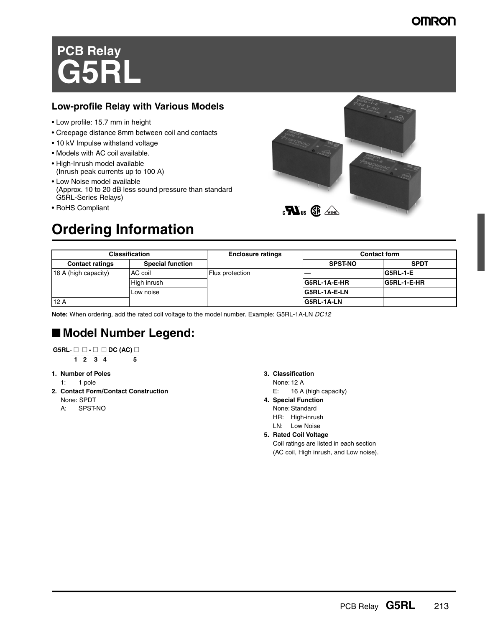## **OMRON**

# **PCB Relay G5RL**

#### **Low-profile Relay with Various Models**

- Low profile: 15.7 mm in height
- Creepage distance 8mm between coil and contacts
- 10 kV Impulse withstand voltage
- Models with AC coil available.
- High-Inrush model available (Inrush peak currents up to 100 A)
- Low Noise model available (Approx. 10 to 20 dB less sound pressure than standard G5RL-Series Relays)
- RoHS Compliant



## **Ordering Information**

| <b>Classification</b>  |                         | <b>Enclosure ratings</b> |                     | <b>Contact form</b> |
|------------------------|-------------------------|--------------------------|---------------------|---------------------|
| <b>Contact ratings</b> | <b>Special function</b> |                          | <b>SPST-NO</b>      | <b>SPDT</b>         |
| 16 A (high capacity)   | AC coil                 | Flux protection          |                     | G5RL-1-E            |
|                        | High inrush             |                          | IG5RL-1A-E-HR       | G5RL-1-E-HR         |
|                        | Low noise               |                          | <b>G5RL-1A-E-LN</b> |                     |
| 12A                    |                         |                          | <b>G5RL-1A-LN</b>   |                     |

**Note:** When ordering, add the rated coil voltage to the model number. Example: G5RL-1A-LN *DC12*

## ■ **Model Number Legend:**

$$
\overline{\mathsf{GSRL}}\cdot \square \ \square \cdot \square \ \square \ \mathsf{DC} \ (\mathsf{AC}) \ \square
$$

 $\frac{1}{1}$   $\frac{1}{2}$   $\frac{1}{3}$   $\frac{1}{4}$ 

- **1. Number of Poles**
	- 1: 1 pole
- **2. Contact Form/Contact Construction**
	- None: SPDT
	- A: SPST-NO

#### **3. Classification**

- None: 12 A
- E: 16 A (high capacity)
- **4. Special Function**
- None: Standard
	- HR: High-inrush
	- LN: Low Noise
- **5. Rated Coil Voltage**

Coil ratings are listed in each section (AC coil, High inrush, and Low noise).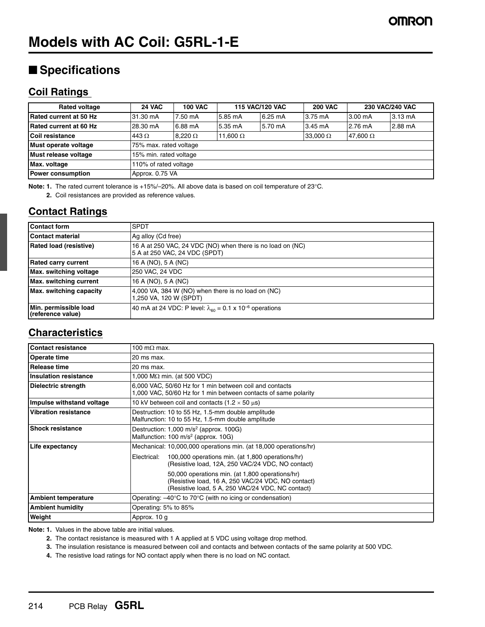## **Models with AC Coil: G5RL-1-E**

## ■ **Specifications**

#### **Coil Ratings**

| <b>Rated voltage</b>           | <b>24 VAC</b>          | <b>100 VAC</b> |                 | <b>115 VAC/120 VAC</b> | <b>200 VAC</b>    |          | <b>230 VAC/240 VAC</b> |
|--------------------------------|------------------------|----------------|-----------------|------------------------|-------------------|----------|------------------------|
| <b>IRated current at 50 Hz</b> | 31.30 mA               | 7.50 mA        | 5.85 mA         | $6.25 \text{ mA}$      | $3.75 \text{ mA}$ | 3.00 mA  | $3.13 \text{ mA}$      |
| Rated current at 60 Hz         | 28.30 mA               | 6.88 mA        | 5.35 mA         | 5.70 mA                | $3.45 \text{ mA}$ | 2.76 mA  | 2.88 mA                |
| Coil resistance                | 443 $\Omega$           | $8.220 \Omega$ | 11,600 $\Omega$ |                        | 33,000 $\Omega$   | 47,600 Ω |                        |
| Must operate voltage           | 75% max. rated voltage |                |                 |                        |                   |          |                        |
| Must release voltage           | 15% min. rated voltage |                |                 |                        |                   |          |                        |
| Max. voltage                   | 110% of rated voltage  |                |                 |                        |                   |          |                        |
| <b>Power consumption</b>       | Approx. 0.75 VA        |                |                 |                        |                   |          |                        |

**Note: 1.** The rated current tolerance is +15%/–20%. All above data is based on coil temperature of 23°C.

**2.** Coil resistances are provided as reference values.

### **Contact Ratings**

| <b>Contact form</b>                        | <b>SPDT</b>                                                                                 |
|--------------------------------------------|---------------------------------------------------------------------------------------------|
| Contact material                           | Ag alloy (Cd free)                                                                          |
| Rated load (resistive)                     | 16 A at 250 VAC, 24 VDC (NO) when there is no load on (NC)<br>5 A at 250 VAC, 24 VDC (SPDT) |
| <b>Rated carry current</b>                 | 16 A (NO), 5 A (NC)                                                                         |
| Max. switching voltage                     | 250 VAC, 24 VDC                                                                             |
| Max. switching current                     | 16 A (NO), 5 A (NC)                                                                         |
| Max. switching capacity                    | 4,000 VA, 384 W (NO) when there is no load on (NC)<br>1,250 VA, 120 W (SPDT)                |
| Min. permissible load<br>(reference value) | 40 mA at 24 VDC: P level: $\lambda_{60}$ = 0.1 x 10 <sup>-6</sup> operations                |

### **Characteristics**

| <b>Contact resistance</b>   | 100 m $\Omega$ max.                                                                                                                                        |  |
|-----------------------------|------------------------------------------------------------------------------------------------------------------------------------------------------------|--|
| Operate time                | 20 ms max.                                                                                                                                                 |  |
| <b>Release time</b>         | 20 ms max.                                                                                                                                                 |  |
| Insulation resistance       | 1,000 M $\Omega$ min. (at 500 VDC)                                                                                                                         |  |
| Dielectric strength         | 6,000 VAC, 50/60 Hz for 1 min between coil and contacts<br>1,000 VAC, 50/60 Hz for 1 min between contacts of same polarity                                 |  |
| Impulse withstand voltage   | 10 kV between coil and contacts (1.2 $\times$ 50 $\mu$ s)                                                                                                  |  |
| <b>Vibration resistance</b> | Destruction: 10 to 55 Hz, 1.5-mm double amplitude<br>Malfunction: 10 to 55 Hz, 1.5-mm double amplitude                                                     |  |
| <b>Shock resistance</b>     | Destruction: $1,000 \text{ m/s}^2$ (approx. 100G)<br>Malfunction: $100 \text{ m/s}^2$ (approx. $10G$ )                                                     |  |
| Life expectancy             | Mechanical: 10,000,000 operations min. (at 18,000 operations/hr)                                                                                           |  |
|                             | 100,000 operations min. (at 1,800 operations/hr)<br>Electrical:<br>(Resistive load, 12A, 250 VAC/24 VDC, NO contact)                                       |  |
|                             | 50,000 operations min. (at 1,800 operations/hr)<br>(Resistive load, 16 A, 250 VAC/24 VDC, NO contact)<br>(Resistive load, 5 A, 250 VAC/24 VDC, NC contact) |  |
| <b>Ambient temperature</b>  | Operating: $-40^{\circ}$ C to 70 $^{\circ}$ C (with no icing or condensation)                                                                              |  |
| <b>Ambient humidity</b>     | Operating: 5% to 85%                                                                                                                                       |  |
| Weight                      | Approx. 10 g                                                                                                                                               |  |

**Note: 1.** Values in the above table are initial values.

**2.** The contact resistance is measured with 1 A applied at 5 VDC using voltage drop method.

**3.** The insulation resistance is measured between coil and contacts and between contacts of the same polarity at 500 VDC.

**4.** The resistive load ratings for NO contact apply when there is no load on NC contact.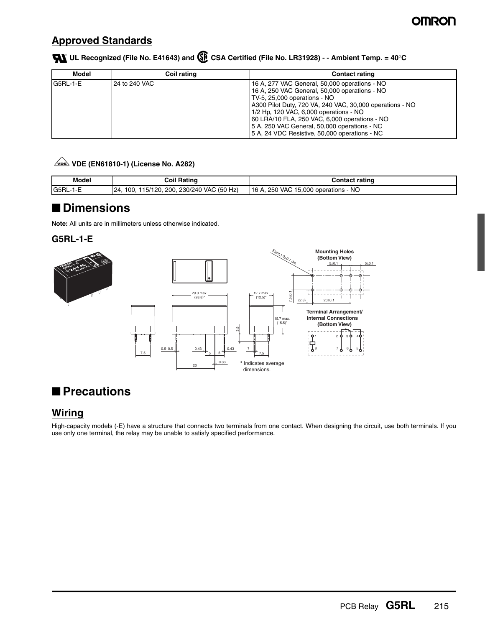### **Approved Standards**

 **UL Recognized (File No. E41643) and CSA Certified (File No. LR31928) - - Ambient Temp. = 40**°**C**

| Model    | Coil rating     | <b>Contact rating</b>                                                                                                                                                                                                                                                                                                                                                                  |
|----------|-----------------|----------------------------------------------------------------------------------------------------------------------------------------------------------------------------------------------------------------------------------------------------------------------------------------------------------------------------------------------------------------------------------------|
| G5RL-1-E | l 24 to 240 VAC | 16 A, 277 VAC General, 50,000 operations - NO<br>16 A, 250 VAC General, 50,000 operations - NO<br>TV-5, 25,000 operations - NO<br>A300 Pilot Duty, 720 VA, 240 VAC, 30,000 operations - NO<br>1/2 Hp, 120 VAC, 6,000 operations - NO<br>60 LRA/10 FLA, 250 VAC, 6,000 operations - NO<br>5 A, 250 VAC General, 50,000 operations - NC<br>5 A, 24 VDC Resistive, 50,000 operations - NC |

#### **VDE (EN61810-1) (License No. A282)**

| <b>Model</b>   | Coil Ratino                                       | <b>Contact rating</b>                |
|----------------|---------------------------------------------------|--------------------------------------|
| G5RL-1-E<br>-- | 115/120, 200, 230/240 VAC (50 Hz)<br>100.<br>I24. | 16 A, 250 VAC 15,000 operations - NO |

### ■ **Dimensions**

**Note:** All units are in millimeters unless otherwise indicated.

#### **G5RL-1-E**



## ■ **Precautions**

#### **Wiring**

High-capacity models (-E) have a structure that connects two terminals from one contact. When designing the circuit, use both terminals. If you use only one terminal, the relay may be unable to satisfy specified performance.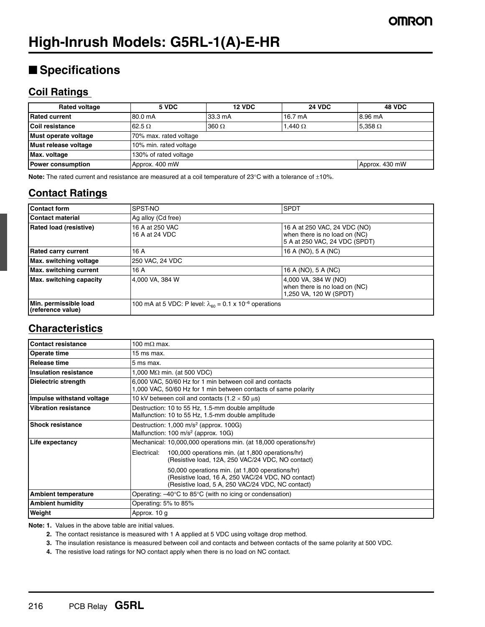## ■ **Specifications**

#### **Coil Ratings**

| <b>Rated voltage</b>     | 5 VDC                  | <b>12 VDC</b> | <b>24 VDC</b>     | <b>48 VDC</b>  |  |  |
|--------------------------|------------------------|---------------|-------------------|----------------|--|--|
| <b>Rated current</b>     | 80.0 mA                | 33.3 mA       | $16.7 \text{ mA}$ | 8.96 mA        |  |  |
| <b>Coil resistance</b>   | 62.5 $\Omega$          | $360 \Omega$  | 1.440 $\Omega$    | 5,358 $\Omega$ |  |  |
| Must operate voltage     | 70% max. rated voltage |               |                   |                |  |  |
| Must release voltage     | 10% min. rated voltage |               |                   |                |  |  |
| Max. voltage             | 130% of rated voltage  |               |                   |                |  |  |
| <b>Power consumption</b> | Approx. 400 mW         |               |                   | Approx. 430 mW |  |  |

**Note:** The rated current and resistance are measured at a coil temperature of 23°C with a tolerance of ±10%.

### **Contact Ratings**

| <b>Contact form</b>                        | SPST-NO                                                                      | <b>SPDT</b>                                                                                    |  |
|--------------------------------------------|------------------------------------------------------------------------------|------------------------------------------------------------------------------------------------|--|
| <b>Contact material</b>                    | Ag alloy (Cd free)                                                           |                                                                                                |  |
| <b>Rated load (resistive)</b>              | 16 A at 250 VAC<br>16 A at 24 VDC                                            | 16 A at 250 VAC, 24 VDC (NO)<br>when there is no load on (NC)<br>5 A at 250 VAC, 24 VDC (SPDT) |  |
| <b>Rated carry current</b>                 | 16 A                                                                         | 16 A (NO), 5 A (NC)                                                                            |  |
| Max. switching voltage                     | 250 VAC, 24 VDC                                                              |                                                                                                |  |
| Max. switching current                     | 16A                                                                          | 16 A (NO), 5 A (NC)                                                                            |  |
| <b>Max.</b> switching capacity             | 4,000 VA, 384 W                                                              | 4,000 VA, 384 W (NO)<br>when there is no load on (NC)<br>1,250 VA, 120 W (SPDT)                |  |
| Min. permissible load<br>(reference value) | 100 mA at 5 VDC: P level: $\lambda_{60}$ = 0.1 x 10 <sup>-6</sup> operations |                                                                                                |  |

#### **Characteristics**

| <b>Contact resistance</b>    | 100 m $\Omega$ max.                                                                                                                                        |  |
|------------------------------|------------------------------------------------------------------------------------------------------------------------------------------------------------|--|
| Operate time                 | 15 ms max.                                                                                                                                                 |  |
| <b>Release time</b>          | 5 ms max.                                                                                                                                                  |  |
| <b>Insulation resistance</b> | 1,000 M $\Omega$ min. (at 500 VDC)                                                                                                                         |  |
| Dielectric strength          | 6,000 VAC, 50/60 Hz for 1 min between coil and contacts<br>1,000 VAC, 50/60 Hz for 1 min between contacts of same polarity                                 |  |
| Impulse withstand voltage    | 10 kV between coil and contacts (1.2 $\times$ 50 $\mu$ s)                                                                                                  |  |
| <b>Vibration resistance</b>  | Destruction: 10 to 55 Hz, 1.5-mm double amplitude<br>Malfunction: 10 to 55 Hz, 1.5-mm double amplitude                                                     |  |
| <b>Shock resistance</b>      | Destruction: $1,000 \text{ m/s}^2$ (approx. 100G)<br>Malfunction: 100 m/s <sup>2</sup> (approx. 10G)                                                       |  |
| Life expectancy              | Mechanical: 10,000,000 operations min. (at 18,000 operations/hr)                                                                                           |  |
|                              | 100,000 operations min. (at 1,800 operations/hr)<br>Electrical:<br>(Resistive load, 12A, 250 VAC/24 VDC, NO contact)                                       |  |
|                              | 50,000 operations min. (at 1,800 operations/hr)<br>(Resistive load, 16 A, 250 VAC/24 VDC, NO contact)<br>(Resistive load, 5 A, 250 VAC/24 VDC, NC contact) |  |
| <b>Ambient temperature</b>   | Operating: $-40^{\circ}$ C to 85 $^{\circ}$ C (with no icing or condensation)                                                                              |  |
| <b>Ambient humidity</b>      | Operating: 5% to 85%                                                                                                                                       |  |
| Weight                       | Approx. 10 g                                                                                                                                               |  |

**Note: 1.** Values in the above table are initial values.

- **2.** The contact resistance is measured with 1 A applied at 5 VDC using voltage drop method.
- **3.** The insulation resistance is measured between coil and contacts and between contacts of the same polarity at 500 VDC.
- **4.** The resistive load ratings for NO contact apply when there is no load on NC contact.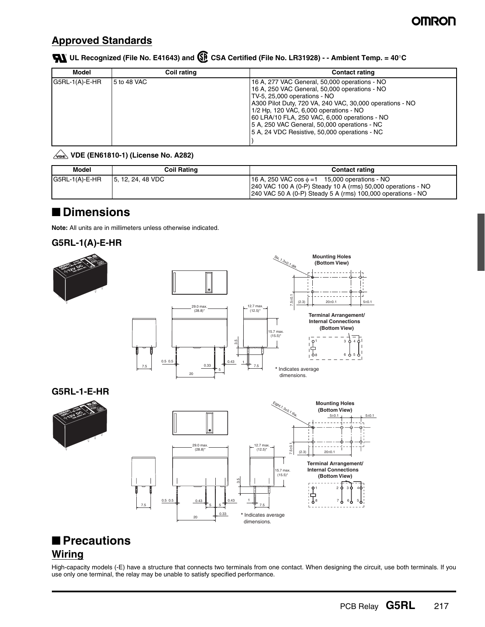### **Approved Standards**

#### **UL Recognized (File No. E41643) and CSA Certified (File No. LR31928) - - Ambient Temp. = 40**°**C**

| Model            | Coil rating | <b>Contact rating</b>                                                                                                                                                                                                                                                                                                                                                                  |
|------------------|-------------|----------------------------------------------------------------------------------------------------------------------------------------------------------------------------------------------------------------------------------------------------------------------------------------------------------------------------------------------------------------------------------------|
| $G5RL-1(A)-E-HR$ | 5 to 48 VAC | 16 A, 277 VAC General, 50,000 operations - NO<br>16 A, 250 VAC General, 50,000 operations - NO<br>TV-5, 25,000 operations - NO<br>A300 Pilot Duty, 720 VA, 240 VAC, 30,000 operations - NO<br>1/2 Hp, 120 VAC, 6,000 operations - NO<br>60 LRA/10 FLA, 250 VAC, 6,000 operations - NO<br>5 A, 250 VAC General, 50,000 operations - NC<br>5 A, 24 VDC Resistive, 50,000 operations - NC |

#### **VDE (EN61810-1) (License No. A282)**

| Model            | Coil Rating        | <b>Contact rating</b>                                                                                                                                                               |
|------------------|--------------------|-------------------------------------------------------------------------------------------------------------------------------------------------------------------------------------|
| $G5RL-1(A)-E-HR$ | 15, 12, 24, 48 VDC | 16 A, 250 VAC $\cos \phi = 1$ 15,000 operations - NO<br>240 VAC 100 A (0-P) Steady 10 A (rms) 50,000 operations - NO<br>240 VAC 50 A (0-P) Steady 5 A (rms) 100,000 operations - NO |

## ■ **Dimensions**

**Note:** All units are in millimeters unless otherwise indicated.





### ■ **Precautions Wiring**

High-capacity models (-E) have a structure that connects two terminals from one contact. When designing the circuit, use both terminals. If you use only one terminal, the relay may be unable to satisfy specified performance.

dimensions.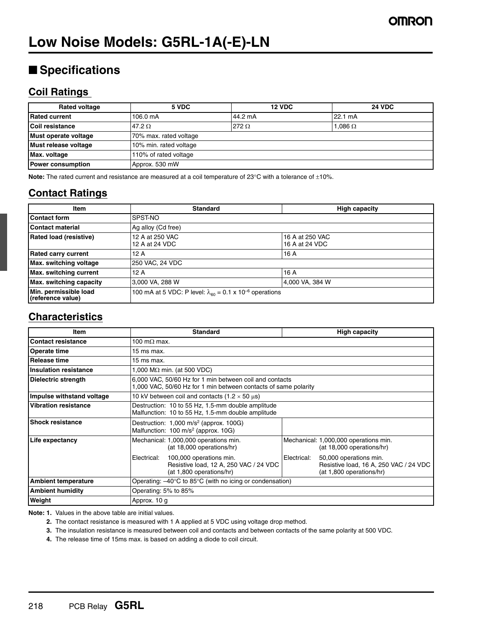## ■ **Specifications**

#### **Coil Ratings**

| <b>Rated voltage</b>     | 5 VDC                  | <b>12 VDC</b> | <b>24 VDC</b>     |  |  |  |
|--------------------------|------------------------|---------------|-------------------|--|--|--|
| <b>Rated current</b>     | 106.0 mA               | 44.2 mA       | $22.1 \text{ mA}$ |  |  |  |
| Coil resistance          | 47.2 $\Omega$          | 272 $\Omega$  | 1.086 $\Omega$    |  |  |  |
| Must operate voltage     | 70% max. rated voltage |               |                   |  |  |  |
| Must release voltage     | 10% min. rated voltage |               |                   |  |  |  |
| Max. voltage             | 110% of rated voltage  |               |                   |  |  |  |
| <b>Power consumption</b> | Approx. 530 mW         |               |                   |  |  |  |

**Note:** The rated current and resistance are measured at a coil temperature of 23°C with a tolerance of ±10%.

### **Contact Ratings**

| <b>Item</b>                                | <b>Standard</b>                                                                  | <b>High capacity</b>              |
|--------------------------------------------|----------------------------------------------------------------------------------|-----------------------------------|
| <b>Contact form</b>                        | SPST-NO                                                                          |                                   |
| <b>Contact material</b>                    | Ag alloy (Cd free)                                                               |                                   |
| <b>Rated load (resistive)</b>              | 12 A at 250 VAC<br>12 A at 24 VDC                                                | 16 A at 250 VAC<br>16 A at 24 VDC |
| <b>Rated carry current</b>                 | 12 A                                                                             | 16 A                              |
| Max. switching voltage                     | 250 VAC, 24 VDC                                                                  |                                   |
| Max. switching current                     | 12 A                                                                             | 16 A                              |
| Max. switching capacity                    | 3,000 VA, 288 W                                                                  | 4,000 VA, 384 W                   |
| Min. permissible load<br>(reference value) | 100 mA at 5 VDC: P level: $\lambda_{\rm en}$ = 0.1 x 10 <sup>-6</sup> operations |                                   |

#### **Characteristics**

| Item                        | <b>Standard</b>                                                                                                            | <b>High capacity</b> |                                                                                              |  |
|-----------------------------|----------------------------------------------------------------------------------------------------------------------------|----------------------|----------------------------------------------------------------------------------------------|--|
| <b>Contact resistance</b>   | 100 m $\Omega$ max.                                                                                                        |                      |                                                                                              |  |
| <b>Operate time</b>         | 15 ms max.                                                                                                                 |                      |                                                                                              |  |
| Release time                | 15 ms max.                                                                                                                 |                      |                                                                                              |  |
| Insulation resistance       | 1,000 M $\Omega$ min. (at 500 VDC)                                                                                         |                      |                                                                                              |  |
| Dielectric strength         | 6,000 VAC, 50/60 Hz for 1 min between coil and contacts<br>1,000 VAC, 50/60 Hz for 1 min between contacts of same polarity |                      |                                                                                              |  |
| Impulse withstand voltage   | 10 kV between coil and contacts (1.2 $\times$ 50 $\mu$ s)                                                                  |                      |                                                                                              |  |
| <b>Vibration resistance</b> | Destruction: 10 to 55 Hz, 1.5-mm double amplitude<br>Malfunction: 10 to 55 Hz, 1.5-mm double amplitude                     |                      |                                                                                              |  |
| <b>Shock resistance</b>     | Destruction: $1,000 \text{ m/s}^2$ (approx. 100G)<br>Malfunction: 100 m/s <sup>2</sup> (approx. 10G)                       |                      |                                                                                              |  |
| Life expectancy             | Mechanical: 1,000,000 operations min.<br>(at 18,000 operations/hr)                                                         |                      | Mechanical: 1,000,000 operations min.<br>(at 18,000 operations/hr)                           |  |
|                             | 100,000 operations min.<br>Electrical:<br>Resistive load, 12 A, 250 VAC / 24 VDC<br>(at 1,800 operations/hr)               | Electrical:          | 50,000 operations min.<br>Resistive load, 16 A, 250 VAC / 24 VDC<br>(at 1,800 operations/hr) |  |
| <b>Ambient temperature</b>  | Operating: $-40^{\circ}$ C to 85 $^{\circ}$ C (with no icing or condensation)                                              |                      |                                                                                              |  |
| <b>Ambient humidity</b>     | Operating: 5% to 85%                                                                                                       |                      |                                                                                              |  |
| Weight                      | Approx. 10 g                                                                                                               |                      |                                                                                              |  |

**Note: 1.** Values in the above table are initial values.

**2.** The contact resistance is measured with 1 A applied at 5 VDC using voltage drop method.

**3.** The insulation resistance is measured between coil and contacts and between contacts of the same polarity at 500 VDC.

**4.** The release time of 15ms max. is based on adding a diode to coil circuit.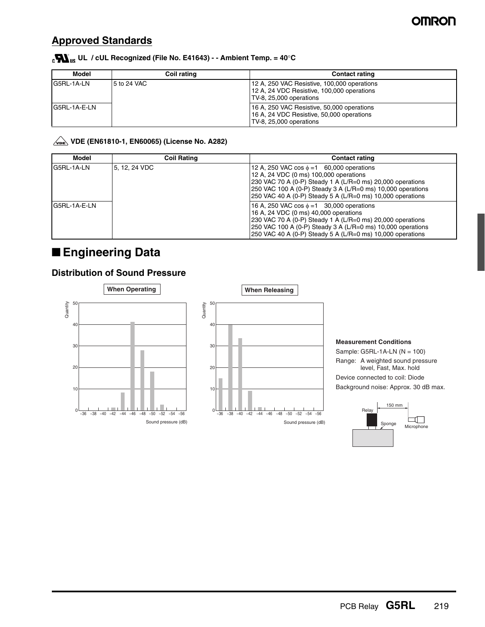### **Approved Standards**

#### **UL / cUL Recognized (File No. E41643) - - Ambient Temp. = 40**°**C**

| Model        | Coil rating | <b>Contact rating</b>                                                                                                |  |
|--------------|-------------|----------------------------------------------------------------------------------------------------------------------|--|
| G5RL-1A-LN   | 5 to 24 VAC | 12 A, 250 VAC Resistive, 100,000 operations<br>12 A, 24 VDC Resistive, 100,000 operations<br>TV-8, 25,000 operations |  |
| G5RL-1A-E-LN |             | 16 A, 250 VAC Resistive, 50,000 operations<br>16 A, 24 VDC Resistive, 50,000 operations<br>TV-8, 25,000 operations   |  |

#### **VDE (EN61810-1, EN60065) (License No. A282)**

| Model        | <b>Coil Rating</b> | <b>Contact rating</b>                                                                                                                                                                                                                                                               |
|--------------|--------------------|-------------------------------------------------------------------------------------------------------------------------------------------------------------------------------------------------------------------------------------------------------------------------------------|
| G5RL-1A-LN   | 5. 12. 24 VDC      | 12 A, 250 VAC cos $\phi = 1$ 60,000 operations<br>12 A, 24 VDC (0 ms) 100,000 operations<br>230 VAC 70 A (0-P) Steady 1 A (L/R=0 ms) 20,000 operations<br>250 VAC 100 A (0-P) Steady 3 A (L/R=0 ms) 10,000 operations<br>250 VAC 40 A (0-P) Steady 5 A (L/R=0 ms) 10,000 operations |
| G5RL-1A-E-LN |                    | 16 A, 250 VAC cos $\phi = 1$ 30,000 operations<br>16 A, 24 VDC (0 ms) 40,000 operations<br>230 VAC 70 A (0-P) Steady 1 A (L/R=0 ms) 20,000 operations<br>250 VAC 100 A (0-P) Steady 3 A (L/R=0 ms) 10,000 operations<br>250 VAC 40 A (0-P) Steady 5 A (L/R=0 ms) 10,000 operations  |

## ■ **Engineering Data**

#### **Distribution of Sound Pressure**





Sample: G5RL-1A-LN (N = 100) Range: A weighted sound pressure level, Fast, Max. hold Device connected to coil: Diode Background noise: Approx. 30 dB max.

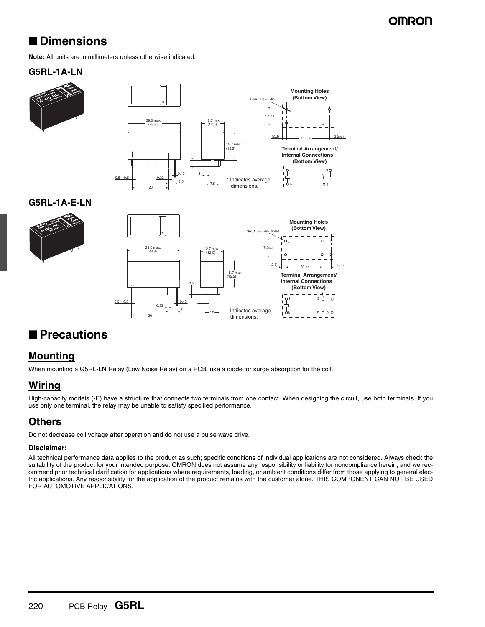## **OMRON**

## ■ **Dimensions**

**Note:** All units are in millimeters unless otherwise indicated.

#### **G5RL-1A-LN**



#### **G5RL-1A-E-LN**





### ■ **Precautions**

#### **Mounting**

When mounting a G5RL-LN Relay (Low Noise Relay) on a PCB, use a diode for surge absorption for the coil.

#### **Wiring**

High-capacity models (-E) have a structure that connects two terminals from one contact. When designing the circuit, use both terminals. If you use only one terminal, the relay may be unable to satisfy specified performance.

### **Others**

Do not decrease coil voltage after operation and do not use a pulse wave drive.

#### **Disclaimer:**

All technical performance data applies to the product as such; specific conditions of individual applications are not considered. Always check the suitability of the product for your intended purpose. OMRON does not assume any responsibility or liability for noncompliance herein, and we recommend prior technical clarification for applications where requirements, loading, or ambient conditions differ from those applying to general electric applications. Any responsibility for the application of the product remains with the customer alone. THIS COMPONENT CAN NOT BE USED FOR AUTOMOTIVE APPLICATIONS.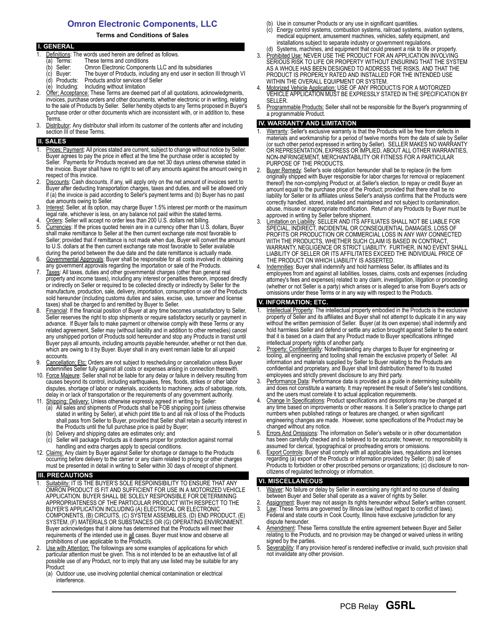#### **Omron Electronic Components, LLC**

#### **Terms and Conditions of Sales**

| <b>I. GENERAL</b> |                                                                                           |  |  |
|-------------------|-------------------------------------------------------------------------------------------|--|--|
|                   | Definitions: The words used herein are defined as follows.                                |  |  |
|                   | These terms and conditions<br>Terms:<br>a)                                                |  |  |
|                   | Omron Electronic Components LLC and its subsidiaries<br>Seller:<br>(b                     |  |  |
|                   | The buyer of Products, including any end user in section III through VI<br>(c) Buyer:     |  |  |
|                   | Products and/or services of Seller<br>(d) Products:                                       |  |  |
|                   | (e) Including: Including without limitation                                               |  |  |
| 2.                | Offer: Acceptance: These Terms are deemed part of all quotations, acknowledgments,        |  |  |
|                   | invoices, purchase orders and other documents, whether electronic or in writing, relating |  |  |
|                   | to the sale of Products by Seller. Seller hereby objects to any Terms proposed in Buyer's |  |  |
|                   | purchase order or other documents which are inconsistent with, or in addition to, these   |  |  |
|                   | Terms.                                                                                    |  |  |

3. Distributor: Any distributor shall inform its customer of the contents after and including section III of these Terms.

#### **SALES**

- Prices: Payment: All prices stated are current, subject to change without notice by Seller. Buyer agrees to pay the price in effect at the time the purchase order is accepted by Seller. Payments for Products received are due net 30 days unless otherwise stated in the invoice. Buyer shall have no right to set off any amounts against the amount owing in respect of this invoice.
- Discounts: Cash discounts, if any, will apply only on the net amount of invoices sent to Buyer after deducting transportation charges, taxes and duties, and will be allowed only if (a) the invoice is paid according to Seller's payment terms and (b) Buyer has no past due amounts owing to Seller.
- 3. Interest: Seller, at its option, may charge Buyer 1.5% interest per month or the maximum legal rate, whichever is less, on any balance not paid within the stated terms.
- 4. Orders: Seller will accept no order less than 200 U.S. dollars net billing.<br>5. Currencies: If the prices quoted herein are in a currency other than U.S. Currencies: If the prices quoted herein are in a currency other than U.S. dollars, Buyer shall make remittance to Seller at the then current exchange rate most favorable to Seller; provided that if remittance is not made when due, Buyer will convert the amount to U.S. dollars at the then current exchange rate most favorable to Seller available during the period between the due date and the date remittance is actually made.
- 6. Governmental Approvals: Buyer shall be responsible for all costs involved in obtaining any government approvals regarding the importation or sale of the Products.
- 7. Taxes: All taxes, duties and other governmental charges (other than general real property and income taxes), including any interest or penalties thereon, imposed directly or indirectly on Seller or required to be collected directly or indirectly by Seller for the manufacture, production, sale, delivery, importation, consumption or use of the Products sold hereunder (including customs duties and sales, excise, use, turnover and license taxes) shall be charged to and remitted by Buyer to Seller.
- 8. Financial: If the financial position of Buyer at any time becomes unsatisfactory to Seller, Seller reserves the right to stop shipments or require satisfactory security or payment in advance. If Buyer fails to make payment or otherwise comply with these Terms or any related agreement, Seller may (without liability and in addition to other remedies) cancel any unshipped portion of Products sold hereunder and stop any Products in transit until Buyer pays all amounts, including amounts payable hereunder, whether or not then due, which are owing to it by Buyer. Buyer shall in any event remain liable for all unpaid accounts.
- 9. Cancellation; Etc: Orders are not subject to rescheduling or cancellation unless Buyer indemnifies Seller fully against all costs or expenses arising in connection therewith.
- 10. Force Majeure: Seller shall not be liable for any delay or failure in delivery resulting from causes beyond its control, including earthquakes, fires, floods, strikes or other labor disputes, shortage of labor or materials, accidents to machinery, acts of sabotage, riots, delay in or lack of transportation or the requirements of any government authority.
- 11. Shipping; Delivery: Unless otherwise expressly agreed in writing by Seller:
	- (a) All sales and shipments of Products shall be FOB shipping point (unless otherwise stated in writing by Seller), at which point title to and all risk of loss of the Products shall pass from Seller to Buyer, provided that Seller shall retain a security interest in the Products until the full purchase price is paid by Buyer;
	- Delivery and shipping dates are estimates only; and
	- Seller will package Products as it deems proper for protection against normal handling and extra charges apply to special conditions.
- 12. Claims: Any claim by Buyer against Seller for shortage or damage to the Products occurring before delivery to the carrier or any claim related to pricing or other charges must be presented in detail in writing to Seller within 30 days of receipt of shipment.

#### **III. PRECAUTIONS**

- Suitability: IT IS THE BUYER'S SOLE RESPOINSIBILITY TO ENSURE THAT ANY OMRON PRODUCT IS FIT AND SUFFICIENT FOR USE IN A MOTORIZED VEHICLE APPLICATION. BUYER SHALL BE SOLELY RESPONSIBLE FOR DETERMINING APPROPRIATENESS OF THE PARTICULAR PRODUCT WITH RESPECT TO THE BUYER'S APPLICATION INCLUDING (A) ELECTRICAL OR ELECTRONIC COMPONENTS, (B) CIRCUITS, (C) SYSTEM ASSEMBLIES, (D) END PRODUCT, (E) SYSTEM, (F) MATERIALS OR SUBSTANCES OR (G) OPERATING ENVIRONMENT. Buyer acknowledges that it alone has determined that the Products will meet their requirements of the intended use in all cases. Buyer must know and observe all prohibitions of use applicable to the Product/s.
- 2. Use with Attention: The followings are some examples of applications for which particular attention must be given. This is not intended to be an exhaustive list of all possible use of any Product, nor to imply that any use listed may be suitable for any Product:
	- (a) Outdoor use, use involving potential chemical contamination or electrical interference.
- (b) Use in consumer Products or any use in significant quantities.
- (c) Energy control systems, combustion systems, railroad systems, aviation systems, medical equipment, amusement machines, vehicles, safety equipment, and installations subject to separate industry or government regulations. (d) Systems, machines, and equipment that could present a risk to life or property.
- 3. Prohibited Use: NEVER USE THE PRODUCT FOR AN APPLICATION INVOLVING SERIOUS RISK TO LIFE OR PROPERTY WITHOUT ENSURING THAT THE SYSTEM AS A WHOLE HAS BEEN DESIGNED TO ADDRESS THE RISKS, AND THAT THE PRODUCT IS PROPERLY RATED AND INSTALLED FOR THE INTENDED USE WITHIN THE OVERALL EQUIPMENT OR SYSTEM.
- 4. Motorized Vehicle Application: USE OF ANY PRODUCT/S FOR A MOTORIZED VEHICLE APPLICATION MUST BE EXPRESSLY STATED IN THE SPECIFICATION BY SELLER.
- 5. Programmable Products: Seller shall not be responsible for the Buyer's programming of a programmable Product.

#### **IV. WARRANTY AND LIMITATION**

- Warranty: Seller's exclusive warranty is that the Products will be free from defects in materials and workmanship for a period of twelve months from the date of sale by Seller (or such other period expressed in writing by Seller). SELLER MAKES NO WARRANTY OR REPRESENTATION, EXPRESS OR IMPLIED, ABOUT ALL OTHER WARRANTIES, NON-INFRINGEMENT, MERCHANTABILITY OR FITNESS FOR A PARTICULAR PURPOSE OF THE PRODUCTS.
- 2. Buyer Remedy: Seller's sole obligation hereunder shall be to replace (in the form originally shipped with Buyer responsible for labor charges for removal or replacement thereof) the non-complying Product or, at Seller's election, to repay or credit Buyer an amount equal to the purchase price of the Product; provided that there shall be no liability for Seller or its affiliates unless Seller's analysis confirms that the Products were correctly handled, stored, installed and maintained and not subject to contamination, abuse, misuse or inappropriate modification. Return of any Products by Buyer must be approved in writing by Seller before shipment.
- 3. Limitation on Liability: SELLER AND ITS AFFILIATES SHALL NOT BE LIABLE FOR SPECIAL, INDIRECT, INCIDENTAL OR CONSEQUENTIAL DAMAGES, LOSS OF PROFITS OR PRODUCTION OR COMMERCIAL LOSS IN ANY WAY CONNECTED WITH THE PRODUCTS, WHETHER SUCH CLAIM IS BASED IN CONTRACT, WARRANTY, NEGLIGENCE OR STRICT LIABILITY. FURTHER, IN NO EVENT SHALL LIABILITY OF SELLER OR ITS AFFILITATES EXCEED THE INDIVIDUAL PRICE OF THE PRODUCT ON WHICH LIABILITY IS ASSERTED.
- Indemnities: Buyer shall indemnify and hold harmless Seller, its affiliates and its employees from and against all liabilities, losses, claims, costs and expenses (including attorney's fees and expenses) related to any claim, investigation, litigation or proceeding (whether or not Seller is a party) which arises or is alleged to arise from Buyer's acts or omissions under these Terms or in any way with respect to the Products.

#### **V. INFORMATION; ETC.**

- 1. Intellectual Property: The intellectual property embodied in the Products is the exclusive property of Seller and its affiliates and Buyer shall not attempt to duplicate it in any way without the written permission of Seller. Buyer (at its own expense) shall indemnify and hold harmless Seller and defend or settle any action brought against Seller to the extent that it is based on a claim that any Product made to Buyer specifications infringed intellectual property rights of another party.
- Property: Confidentiality: Notwithstanding any charges to Buyer for engineering or tooling, all engineering and tooling shall remain the exclusive property of Seller. All information and materials supplied by Seller to Buyer relating to the Products are confidential and proprietary, and Buyer shall limit distribution thereof to its trusted employees and strictly prevent disclosure to any third party.
- 3. Performance Data: Performance data is provided as a guide in determining suitability and does not constitute a warranty. It may represent the result of Seller's test conditions, and the users must correlate it to actual application requirements.
- Change In Specifications: Product specifications and descriptions may be changed at any time based on improvements or other reasons. It is Seller's practice to change part numbers when published ratings or features are changed, or when significant engineering changes are made. However, some specifications of the Product may be changed without any notice.
- 5. Errors And Omissions: The information on Seller's website or in other documentation has been carefully checked and is believed to be accurate; however, no responsibility is assumed for clerical, typographical or proofreading errors or omissions.
- 6. Export Controls: Buyer shall comply with all applicable laws, regulations and licenses regarding (a) export of the Products or information provided by Seller; (b) sale of Products to forbidden or other proscribed persons or organizations; (c) disclosure to noncitizens of regulated technology or information.

#### **VI. MISCELLANEOUS**

- Waiver: No failure or delay by Seller in exercising any right and no course of dealing between Buyer and Seller shall operate as a waiver of rights by Seller.
- 2. Assignment: Buyer may not assign its rights hereunder without Seller's written consent. 3. Law: These Terms are governed by Illinois law (without regard to conflict of laws). Federal and state courts in Cook County, Illinois have exclusive jurisdiction for any
- dispute hereunder. 4. Amendment: These Terms constitute the entire agreement between Buyer and Seller relating to the Products, and no provision may be changed or waived unless in writing
- signed by the parties. 5. Severability: If any provision hereof is rendered ineffective or invalid, such provision shall
- not invalidate any other provision.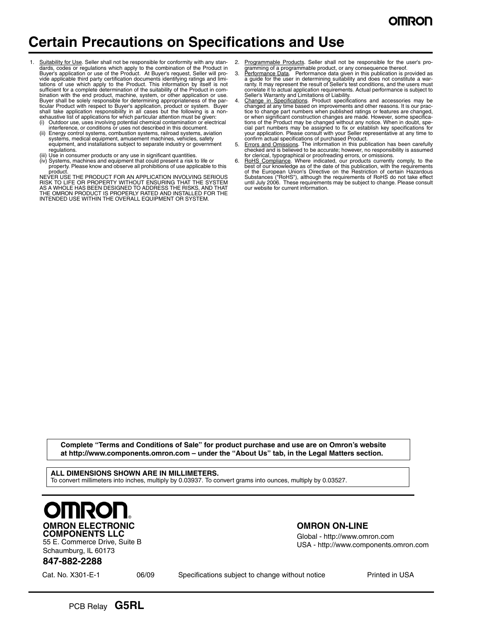## **Certain Precautions on Specifications and Use**

- Suitability for Use. Seller shall not be responsible for conformity with any standards, codes or regulations which apply to the combination of the Product in Buyer's application or use of the Product. At Buyer's request, Seller will provide applicable third party certification documents identifying ratings and limi-<br>tations of use which apply to the Product. This information by itself is not<br>sufficient for a complete determination of the suitability of t bination with the end product, machine, system, or other application or use.<br>Buyer shall be solely responsible for determining appropriateness of the par-<br>ticular Product with respect to Buyer's application, product or sys
	- (i) Outdoor use, uses involving potential chemical contamination or electrical interference, or conditions or uses not described in this document.
	- (ii) Energy control systems, combustion systems, railroad systems, aviation systems, medical equipment, amusement machines, vehicles, safety equipment, and installations subject to separate industry or government regulations.
	-
	- (iii) Use in consumer products or any use in significant quantities. (iv) Systems, machines and equipment that could present a risk to life or property. Please know and observe all prohibitions of use applicable to this product.

NEVER USE THE PRODUCT FOR AN APPLICATION INVOLVING SERIOUS<br>RISK TO LIFE OR PROPERTY WITHOUT ENSURING THAT THE SYSTEM<br>AS A WHOLE HAS BEEN DESIGNED TO ADDRESS THE RISKS, AND THAT<br>THE OMRON PRODUCT IS PROPERLY RATED AND INSTA

- Programmable Products. Seller shall not be responsible for the user's pro-
- gramming of a programmable product, or any consequence thereof.<br>3. Performance Data. Performance data given in this publication is provided as a guide for the user in determining suitability and does not constitute a war-ranty. It may represent the result of Seller's test conditions, and the users must correlate it to actual application requirements. Actual performance is subject to
- Seller's Warranty and Limitations of Liability.<br>4. Ch<u>ange in Specifications</u>. Product specifications and accessories may be<br>changed at any time based on improvements and other reasons. It is our practice to change part numbers when published ratings or features are changed, or when significant construction changes are made. However, some specifications of the Product may be changed without any notice. When in doubt, special part numbers may be assigned to fix or establish key specifications for your application. Please consult with your Seller representative at any
- checked and is believed to be accurate; however, no responsibility is assumed
- for clerical, typographical or proofreading errors, or omissions.<br>6. **RoHS Compliance**. Where indicated, our products currently comply, to the<br>best of our knowledge as of the date of this publication, with the requirements Substances ("RoHS"), although the requirements of RoHS do not take effect until July 2006. These requirements may be subject to change. Please consult our website for current information.

**Complete "Terms and Conditions of Sale" for product purchase and use are on Omron's website at http://www.components.omron.com – under the "About Us" tab, in the Legal Matters section.**

**ALL DIMENSIONS SHOWN ARE IN MILLIMETERS.** To convert millimeters into inches, multiply by 0.03937. To convert grams into ounces, multiply by 0.03527.



55 E. Commerce Drive, Suite B Schaumburg, IL 60173

#### **OMRON ON-LINE**

Global - http://www.omron.com USA - http://www.components.omron.com

#### **847-882-2288**

Cat. No. X301-E-1 06/09 Specifications subject to change without notice Printed in USA

PCB Relay **G5RL**